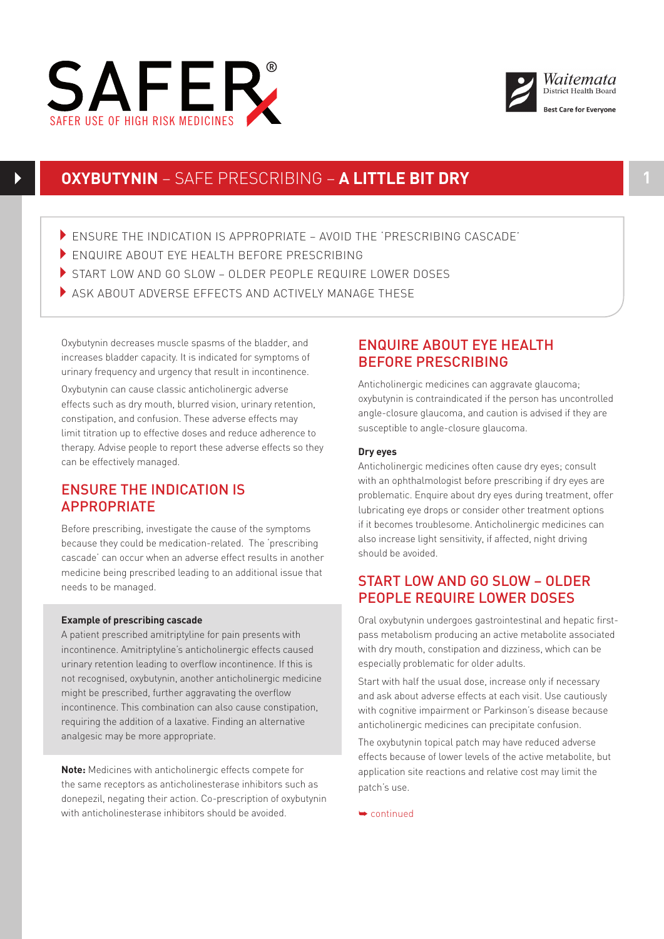



# **OXYBUTYNIN** – SAFE PRESCRIBING – **A LITTLE BIT DRY 1**

- ENSURE THE INDICATION IS APPROPRIATE AVOID THE 'PRESCRIBING CASCADE'
- ENQUIRE ABOUT EYE HEALTH BEFORE PRESCRIBING
- START LOW AND GO SLOW OLDER PEOPLE REQUIRE LOWER DOSES
- ASK ABOUT ADVERSE EFFECTS AND ACTIVELY MANAGE THESE

Oxybutynin decreases muscle spasms of the bladder, and increases bladder capacity. It is indicated for symptoms of urinary frequency and urgency that result in incontinence.

Oxybutynin can cause classic anticholinergic adverse effects such as dry mouth, blurred vision, urinary retention, constipation, and confusion. These adverse effects may limit titration up to effective doses and reduce adherence to therapy. Advise people to report these adverse effects so they can be effectively managed.

# ENSURE THE INDICATION IS APPROPRIATE

Before prescribing, investigate the cause of the symptoms because they could be medication-related. The 'prescribing cascade' can occur when an adverse effect results in another medicine being prescribed leading to an additional issue that needs to be managed.

### **Example of prescribing cascade**

A patient prescribed amitriptyline for pain presents with incontinence. Amitriptyline's anticholinergic effects caused urinary retention leading to overflow incontinence. If this is not recognised, oxybutynin, another anticholinergic medicine might be prescribed, further aggravating the overflow incontinence. This combination can also cause constipation, requiring the addition of a laxative. Finding an alternative analgesic may be more appropriate.

**Note:** Medicines with anticholinergic effects compete for the same receptors as anticholinesterase inhibitors such as donepezil, negating their action. Co-prescription of oxybutynin with anticholinesterase inhibitors should be avoided.

# ENQUIRE ABOUT EYE HEALTH BEFORE PRESCRIBING

Anticholinergic medicines can aggravate glaucoma; oxybutynin is contraindicated if the person has uncontrolled angle-closure glaucoma, and caution is advised if they are susceptible to angle-closure glaucoma.

#### **Dry eyes**

Anticholinergic medicines often cause dry eyes; consult with an ophthalmologist before prescribing if dry eyes are problematic. Enquire about dry eyes during treatment, offer lubricating eye drops or consider other treatment options if it becomes troublesome. Anticholinergic medicines can also increase light sensitivity, if affected, night driving should be avoided.

# START LOW AND GO SLOW – OLDER PEOPLE REQUIRE LOWER DOSES

Oral oxybutynin undergoes gastrointestinal and hepatic firstpass metabolism producing an active metabolite associated with dry mouth, constipation and dizziness, which can be especially problematic for older adults.

Start with half the usual dose, increase only if necessary and ask about adverse effects at each visit. Use cautiously with cognitive impairment or Parkinson's disease because anticholinergic medicines can precipitate confusion.

The oxybutynin topical patch may have reduced adverse effects because of lower levels of the active metabolite, but application site reactions and relative cost may limit the patch's use.

➥ continued